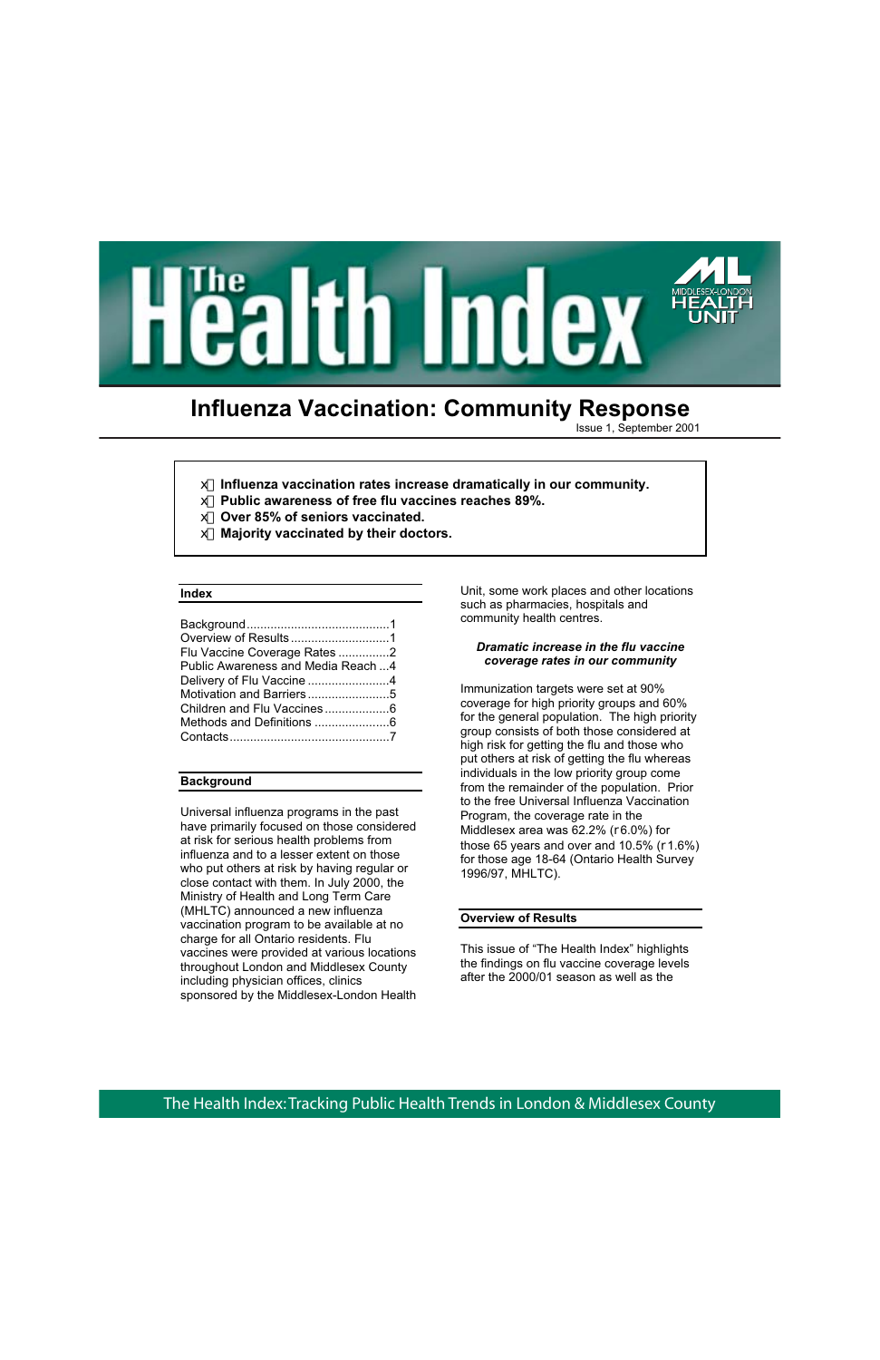

# **Influenza Vaccination: Community Response**

Issue 1, September 2001

- **# Influenza vaccination rates increase dramatically in our community.**
- x **Public awareness of free flu vaccines reaches 89%.**
- x **Over 85% of seniors vaccinated.**
- *E***# Majority vaccinated by their doctors.**

#### **Index**

| Overview of Results1               |  |
|------------------------------------|--|
| Flu Vaccine Coverage Rates 2       |  |
| Public Awareness and Media Reach 4 |  |
|                                    |  |
| Motivation and Barriers5           |  |
|                                    |  |
|                                    |  |
|                                    |  |

## **Background**

Universal influenza programs in the past have primarily focused on those considered at risk for serious health problems from influenza and to a lesser extent on those who put others at risk by having regular or close contact with them. In July 2000, the Ministry of Health and Long Term Care (MHLTC) announced a new influenza vaccination program to be available at no charge for all Ontario residents. Flu vaccines were provided at various locations throughout London and Middlesex County including physician offices, clinics sponsored by the Middlesex-London Health

Unit, some work places and other locations such as pharmacies, hospitals and community health centres.

# *Dramatic increase in the flu vaccine coverage rates in our community*

Immunization targets were set at 90% coverage for high priority groups and 60% for the general population. The high priority group consists of both those considered at high risk for getting the flu and those who put others at risk of getting the flu whereas individuals in the low priority group come from the remainder of the population. Prior to the free Universal Influenza Vaccination Program, the coverage rate in the Middlesex area was 62.2% ( $\partial$ 6.0%) for those 65 years and over and 10.5% ( $\partial$ 1.6%) for those age 18-64 (Ontario Health Survey 1996/97, MHLTC).

#### **Overview of Results**

This issue of "The Health Index" highlights the findings on flu vaccine coverage levels after the 2000/01 season as well as the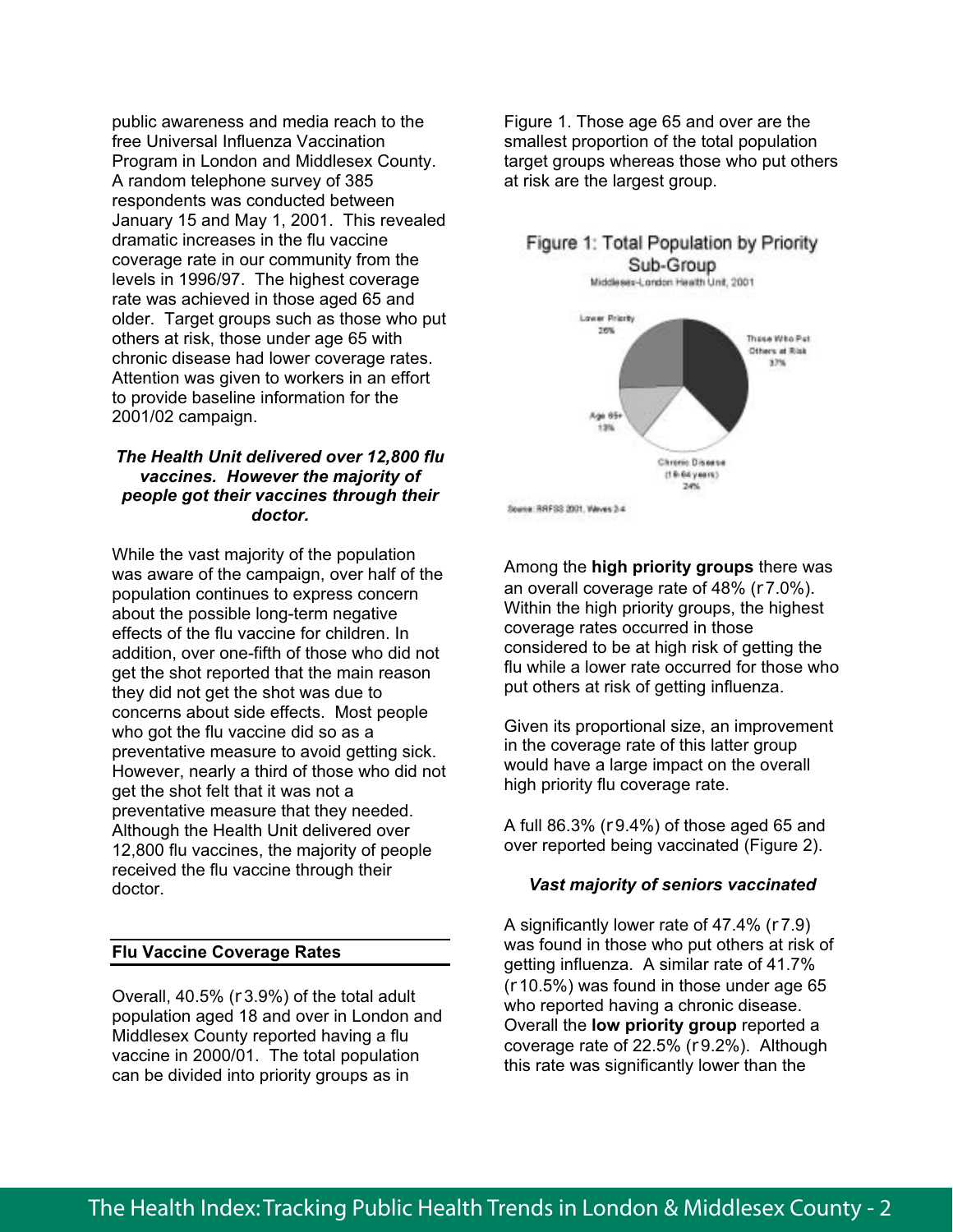public awareness and media reach to the free Universal Influenza Vaccination Program in London and Middlesex County. A random telephone survey of 385 respondents was conducted between January 15 and May 1, 2001. This revealed dramatic increases in the flu vaccine coverage rate in our community from the levels in 1996/97. The highest coverage rate was achieved in those aged 65 and older. Target groups such as those who put others at risk, those under age 65 with chronic disease had lower coverage rates. Attention was given to workers in an effort to provide baseline information for the 2001/02 campaign.

## *The Health Unit delivered over 12,800 flu vaccines. However the majority of people got their vaccines through their doctor.*

While the vast majority of the population was aware of the campaign, over half of the population continues to express concern about the possible long-term negative effects of the flu vaccine for children. In addition, over one-fifth of those who did not get the shot reported that the main reason they did not get the shot was due to concerns about side effects. Most people who got the flu vaccine did so as a preventative measure to avoid getting sick. However, nearly a third of those who did not get the shot felt that it was not a preventative measure that they needed. Although the Health Unit delivered over 12,800 flu vaccines, the majority of people received the flu vaccine through their doctor.

## **Flu Vaccine Coverage Rates**

Overall, 40.5% ( $\partial$ 3.9%) of the total adult population aged 18 and over in London and Middlesex County reported having a flu vaccine in 2000/01. The total population can be divided into priority groups as in

Figure 1. Those age 65 and over are the smallest proportion of the total population target groups whereas those who put others at risk are the largest group.



# Among the **high priority groups** there was an overall coverage rate of 48% ( $\partial$ 7.0%). Within the high priority groups, the highest coverage rates occurred in those considered to be at high risk of getting the flu while a lower rate occurred for those who put others at risk of getting influenza.

Given its proportional size, an improvement in the coverage rate of this latter group would have a large impact on the overall high priority flu coverage rate.

A full 86.3% ( $\partial$ 9.4%) of those aged 65 and over reported being vaccinated (Figure 2).

## *Vast majority of seniors vaccinated*

A significantly lower rate of 47.4% ( $\partial$ 7.9) was found in those who put others at risk of getting influenza. A similar rate of 41.7%  $($  $\partial$ 10.5%) was found in those under age 65 who reported having a chronic disease. Overall the **low priority group** reported a coverage rate of 22.5% ( $\partial$ 9.2%). Although this rate was significantly lower than the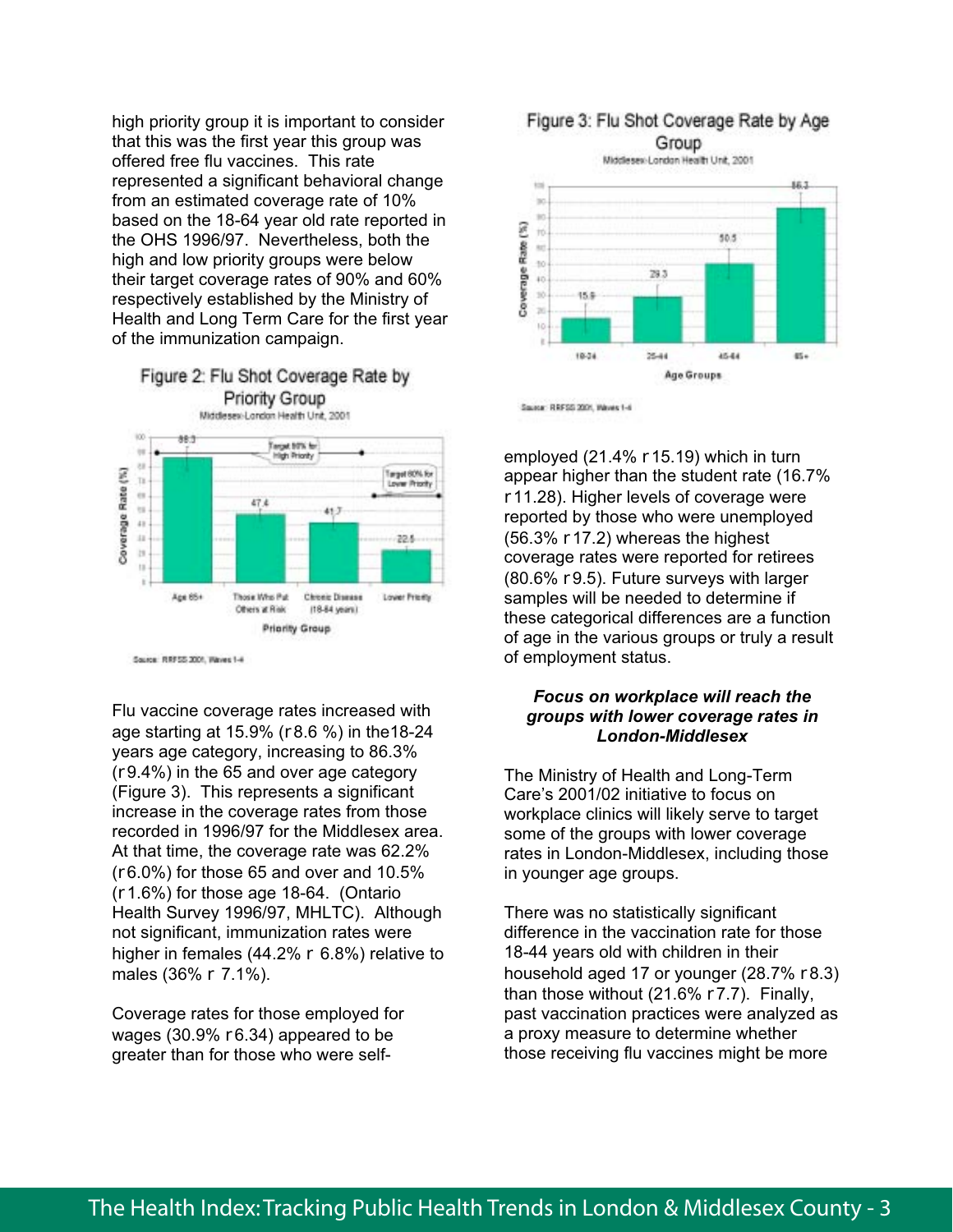high priority group it is important to consider that this was the first year this group was offered free flu vaccines. This rate represented a significant behavioral change from an estimated coverage rate of 10% based on the 18-64 year old rate reported in the OHS 1996/97. Nevertheless, both the high and low priority groups were below their target coverage rates of 90% and 60% respectively established by the Ministry of Health and Long Term Care for the first year of the immunization campaign.



Source: RRF55.2001, Waves 1-4

Flu vaccine coverage rates increased with age starting at 15.9% ( $\partial$ 8.6 %) in the 18-24 years age category, increasing to 86.3%  $(79.4\%)$  in the 65 and over age category (Figure 3). This represents a significant increase in the coverage rates from those recorded in 1996/97 for the Middlesex area. At that time, the coverage rate was 62.2%  $(36.0\%)$  for those 65 and over and 10.5%  $($  $\partial$ 1.6%) for those age 18-64. (Ontario Health Survey 1996/97, MHLTC). Although not significant, immunization rates were higher in females (44.2%  $\partial$  6.8%) relative to males (36%  $\partial$  7.1%).

Coverage rates for those employed for wages (30.9%  $\partial$ 6.34) appeared to be greater than for those who were self-



employed (21.4%  $\partial$ 15.19) which in turn appear higher than the student rate (16.7%  $\partial$ 11.28). Higher levels of coverage were reported by those who were unemployed  $(56.3\% \partial 17.2)$  whereas the highest coverage rates were reported for retirees  $(80.6\% \partial 9.5)$ . Future surveys with larger samples will be needed to determine if these categorical differences are a function of age in the various groups or truly a result

# *Focus on workplace will reach the groups with lower coverage rates in London-Middlesex*

of employment status.

The Ministry of Health and Long-Term Care's 2001/02 initiative to focus on workplace clinics will likely serve to target some of the groups with lower coverage rates in London-Middlesex, including those in younger age groups.

There was no statistically significant difference in the vaccination rate for those 18-44 years old with children in their household aged 17 or younger (28.7%  $\partial$ 8.3) than those without (21.6%  $\partial$ 7.7). Finally, past vaccination practices were analyzed as a proxy measure to determine whether those receiving flu vaccines might be more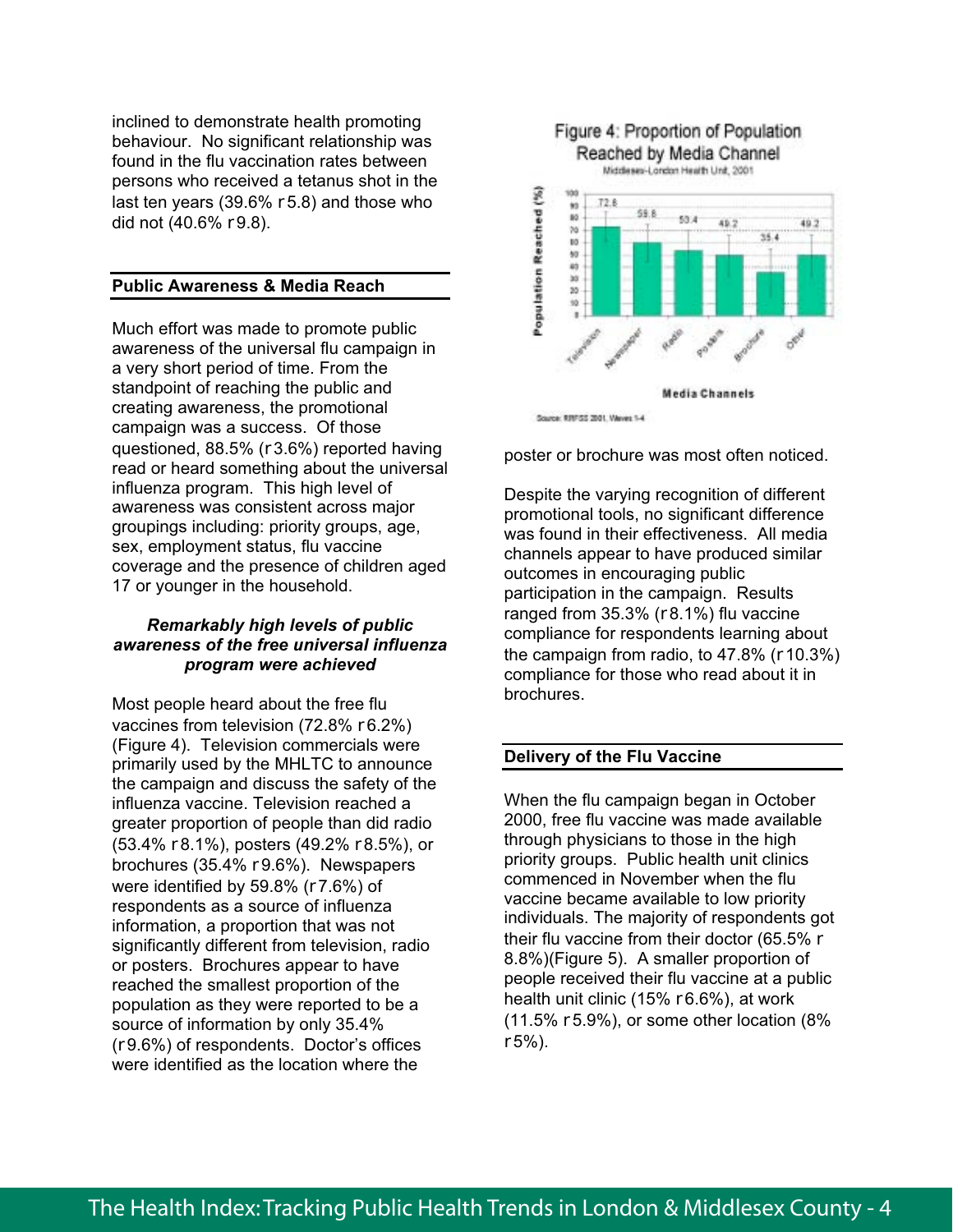inclined to demonstrate health promoting behaviour. No significant relationship was found in the flu vaccination rates between persons who received a tetanus shot in the last ten years (39.6%  $\partial$ 5.8) and those who did not  $(40.6\% \ \partial 9.8)$ .

## **Public Awareness & Media Reach**

Much effort was made to promote public awareness of the universal flu campaign in a very short period of time. From the standpoint of reaching the public and creating awareness, the promotional campaign was a success. Of those questioned,  $88.5\%$  ( $\partial$ 3.6%) reported having read or heard something about the universal influenza program. This high level of awareness was consistent across major groupings including: priority groups, age, sex, employment status, flu vaccine coverage and the presence of children aged 17 or younger in the household.

# *Remarkably high levels of public awareness of the free universal influenza program were achieved*

Most people heard about the free flu vaccines from television (72.8%  $\partial$ 6.2%) (Figure 4). Television commercials were primarily used by the MHLTC to announce the campaign and discuss the safety of the influenza vaccine. Television reached a greater proportion of people than did radio  $(53.4\% \partial 8.1\%)$ , posters (49.2%  $\partial 8.5\%$ ), or brochures (35.4%  $\partial$ 9.6%). Newspapers were identified by 59.8%  $(27.6%)$  of respondents as a source of influenza information, a proportion that was not significantly different from television, radio or posters. Brochures appear to have reached the smallest proportion of the population as they were reported to be a source of information by only 35.4%  $(39.6%)$  of respondents. Doctor's offices were identified as the location where the



poster or brochure was most often noticed.

Despite the varying recognition of different promotional tools, no significant difference was found in their effectiveness. All media channels appear to have produced similar outcomes in encouraging public participation in the campaign. Results ranged from  $35.3\%$  ( $\partial 8.1\%$ ) flu vaccine compliance for respondents learning about the campaign from radio, to 47.8% ( $\partial$ 10.3%) compliance for those who read about it in brochures.

#### **Delivery of the Flu Vaccine**

When the flu campaign began in October 2000, free flu vaccine was made available through physicians to those in the high priority groups. Public health unit clinics commenced in November when the flu vaccine became available to low priority individuals. The majority of respondents got their flu vaccine from their doctor (65.5%  $\partial$ 8.8%)(Figure 5). A smaller proportion of people received their flu vaccine at a public health unit clinic (15%  $\partial$ 6.6%), at work  $(11.5\% \partial 5.9\%)$ , or some other location (8%)  $\partial$ 5%).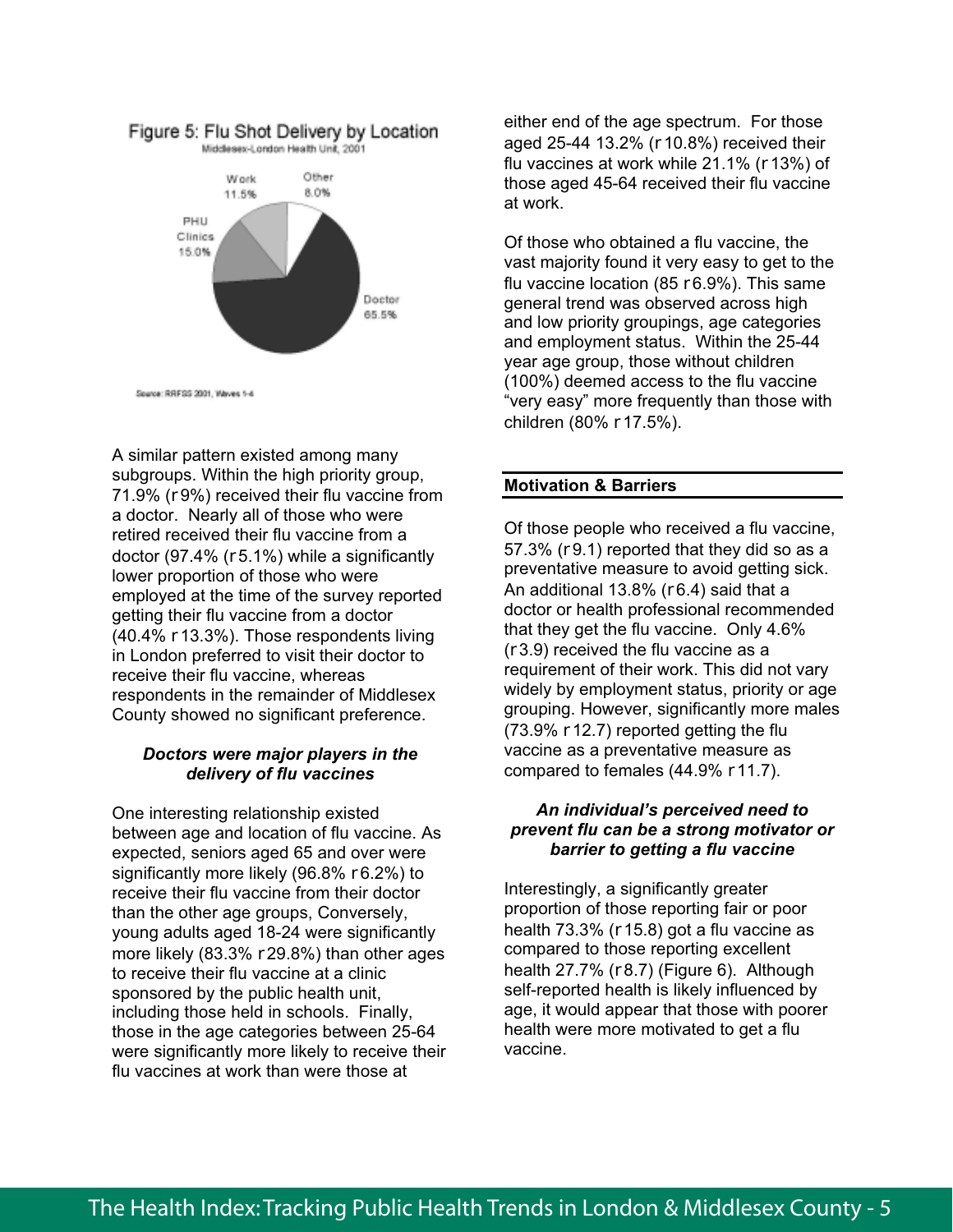

A similar pattern existed among many doctor (97.4%  $(d5.1%)$  while a significantly lower proportion of those who were employed at the time of the survey reported getting their flu vaccine from a doctor  $(40.4\% \partial 13.3\%)$ . Those respondents living in London preferred to visit their doctor to receive their flu vaccine, whereas respondents in the remainder of Middlesex County showed no significant preference.

## *Doctors were major players in the delivery of flu vaccines*

One interesting relationship existed between age and location of flu vaccine. As expected, seniors aged 65 and over were significantly more likely (96.8%  $\partial$ 6.2%) to receive their flu vaccine from their doctor than the other age groups, Conversely, young adults aged 18-24 were significantly more likely (83.3%  $\partial$  29.8%) than other ages to receive their flu vaccine at a clinic sponsored by the public health unit, including those held in schools. Finally, those in the age categories between 25-64 were significantly more likely to receive their flu vaccines at work than were those at

either end of the age spectrum. For those aged 25-44 13.2% ( $\partial$ 10.8%) received their flu vaccines at work while  $21.1\%$  ( $\partial$ 13%) of those aged 45-64 received their flu vaccine at work.

Of those who obtained a flu vaccine, the vast majority found it very easy to get to the flu vaccine location (85  $\partial$ 6.9%). This same general trend was observed across high and low priority groupings, age categories and employment status. Within the 25-44 year age group, those without children (100%) deemed access to the flu vaccine "very easy" more frequently than those with children (80%  $\partial$ 17.5%).

Of those people who received a flu vaccine,  $57.3\%$  ( $\partial$ 9.1) reported that they did so as a preventative measure to avoid getting sick. An additional 13.8% ( $\partial$ 6.4) said that a doctor or health professional recommended that they get the flu vaccine. Only 4.6%  $(33.9)$  received the flu vaccine as a requirement of their work. This did not vary widely by employment status, priority or age grouping. However, significantly more males  $(73.9\% \partial 12.7)$  reported getting the flu vaccine as a preventative measure as compared to females  $(44.9\% \text{ d}11.7)$ .

# *An individual's perceived need to prevent flu can be a strong motivator or barrier to getting a flu vaccine*

Interestingly, a significantly greater proportion of those reporting fair or poor health 73.3% ( $\partial$ 15.8) got a flu vaccine as compared to those reporting excellent health 27.7% ( $\partial$ 8.7) (Figure 6). Although self-reported health is likely influenced by age, it would appear that those with poorer health were more motivated to get a flu vaccine.

subgroups. Within the high priority group, 71.9% ( $\partial$ 9%) received their flu vaccine from a doctor. Nearly all of those who were retired received their flu vaccine from a **Motivation & Barriers**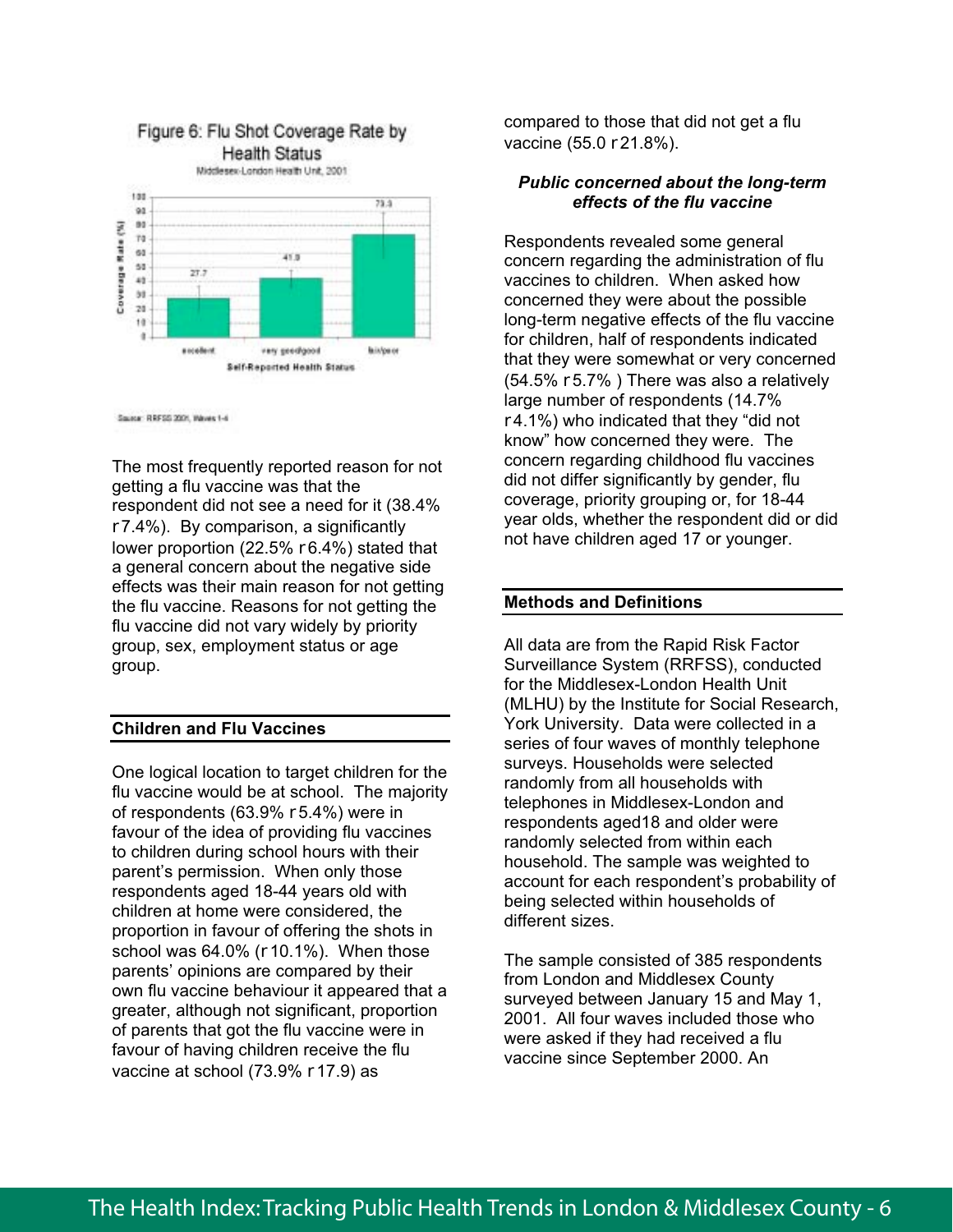

Sauce: RRFSS 2001, Works 1-4

The most frequently reported reason for not getting a flu vaccine was that the respondent did not see a need for it (38.4%  $\partial$ 7.4%). By comparison, a significantly lower proportion (22.5%  $\partial$ 6.4%) stated that a general concern about the negative side effects was their main reason for not getting the flu vaccine. Reasons for not getting the flu vaccine did not vary widely by priority group, sex, employment status or age group.

# **Children and Flu Vaccines**

One logical location to target children for the flu vaccine would be at school. The majority of respondents (63.9%  $\partial$ 5.4%) were in favour of the idea of providing flu vaccines to children during school hours with their parent's permission. When only those respondents aged 18-44 years old with children at home were considered, the proportion in favour of offering the shots in school was  $64.0\%$  ( $\partial$ 10.1%). When those parents' opinions are compared by their own flu vaccine behaviour it appeared that a greater, although not significant, proportion of parents that got the flu vaccine were in favour of having children receive the flu vaccine at school (73.9%  $\partial$ 17.9) as

compared to those that did not get a flu vaccine (55.0  $\partial$ 21.8%).

#### *Public concerned about the long-term effects of the flu vaccine*

Respondents revealed some general concern regarding the administration of flu vaccines to children. When asked how concerned they were about the possible long-term negative effects of the flu vaccine for children, half of respondents indicated that they were somewhat or very concerned  $(54.5\% \partial 5.7\%)$  There was also a relatively large number of respondents (14.7%  $0.41\%$ ) who indicated that they "did not know" how concerned they were. The concern regarding childhood flu vaccines did not differ significantly by gender, flu coverage, priority grouping or, for 18-44 year olds, whether the respondent did or did not have children aged 17 or younger.

#### **Methods and Definitions**

All data are from the Rapid Risk Factor Surveillance System (RRFSS), conducted for the Middlesex-London Health Unit (MLHU) by the Institute for Social Research, York University. Data were collected in a series of four waves of monthly telephone surveys. Households were selected randomly from all households with telephones in Middlesex-London and respondents aged18 and older were randomly selected from within each household. The sample was weighted to account for each respondent's probability of being selected within households of different sizes.

The sample consisted of 385 respondents from London and Middlesex County surveyed between January 15 and May 1, 2001. All four waves included those who were asked if they had received a flu vaccine since September 2000. An